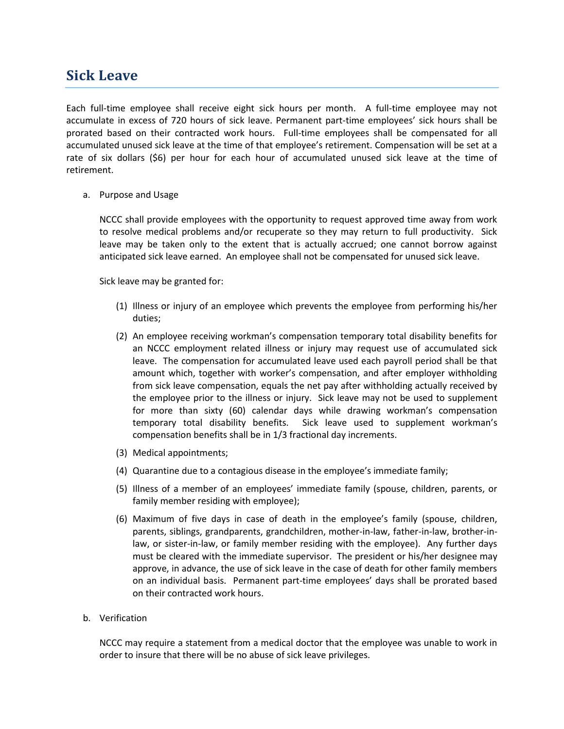## **Sick Leave**

Each full-time employee shall receive eight sick hours per month. A full-time employee may not accumulate in excess of 720 hours of sick leave. Permanent part-time employees' sick hours shall be prorated based on their contracted work hours. Full-time employees shall be compensated for all accumulated unused sick leave at the time of that employee's retirement. Compensation will be set at a rate of six dollars (\$6) per hour for each hour of accumulated unused sick leave at the time of retirement.

a. Purpose and Usage

NCCC shall provide employees with the opportunity to request approved time away from work to resolve medical problems and/or recuperate so they may return to full productivity. Sick leave may be taken only to the extent that is actually accrued; one cannot borrow against anticipated sick leave earned. An employee shall not be compensated for unused sick leave.

Sick leave may be granted for:

- (1) Illness or injury of an employee which prevents the employee from performing his/her duties;
- (2) An employee receiving workman's compensation temporary total disability benefits for an NCCC employment related illness or injury may request use of accumulated sick leave. The compensation for accumulated leave used each payroll period shall be that amount which, together with worker's compensation, and after employer withholding from sick leave compensation, equals the net pay after withholding actually received by the employee prior to the illness or injury. Sick leave may not be used to supplement for more than sixty (60) calendar days while drawing workman's compensation temporary total disability benefits. Sick leave used to supplement workman's compensation benefits shall be in 1/3 fractional day increments.
- (3) Medical appointments;
- (4) Quarantine due to a contagious disease in the employee's immediate family;
- (5) Illness of a member of an employees' immediate family (spouse, children, parents, or family member residing with employee);
- (6) Maximum of five days in case of death in the employee's family (spouse, children, parents, siblings, grandparents, grandchildren, mother-in-law, father-in-law, brother-inlaw, or sister-in-law, or family member residing with the employee). Any further days must be cleared with the immediate supervisor. The president or his/her designee may approve, in advance, the use of sick leave in the case of death for other family members on an individual basis. Permanent part-time employees' days shall be prorated based on their contracted work hours.

## b. Verification

NCCC may require a statement from a medical doctor that the employee was unable to work in order to insure that there will be no abuse of sick leave privileges.